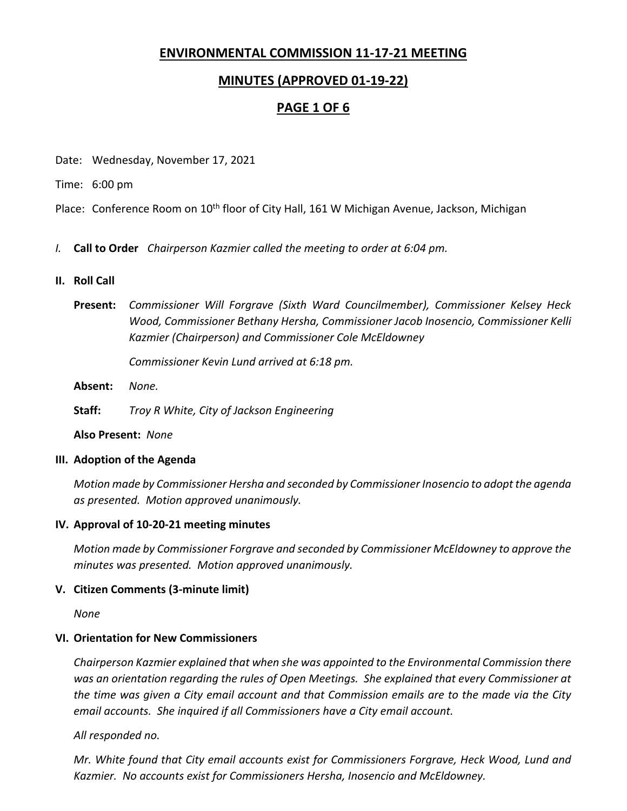# **ENVIRONMENTAL COMMISSION 11‐17‐21 MEETING**

# **MINUTES (APPROVED 01‐19‐22)**

# **PAGE 1 OF 6**

Date: Wednesday, November 17, 2021

Time: 6:00 pm

Place: Conference Room on 10<sup>th</sup> floor of City Hall, 161 W Michigan Avenue, Jackson, Michigan

*I.* **Call to Order** *Chairperson Kazmier called the meeting to order at 6:04 pm.* 

## **II. Roll Call**

**Present:** *Commissioner Will Forgrave (Sixth Ward Councilmember), Commissioner Kelsey Heck Wood, Commissioner Bethany Hersha, Commissioner Jacob Inosencio, Commissioner Kelli Kazmier (Chairperson) and Commissioner Cole McEldowney* 

 *Commissioner Kevin Lund arrived at 6:18 pm.* 

**Absent:** *None.* 

**Staff:**  *Troy R White, City of Jackson Engineering* 

**Also Present:** *None* 

#### **III. Adoption of the Agenda**

*Motion made by Commissioner Hersha and seconded by Commissioner Inosencio to adopt the agenda as presented. Motion approved unanimously.*

# **IV. Approval of 10‐20‐21 meeting minutes**

*Motion made by Commissioner Forgrave and seconded by Commissioner McEldowney to approve the minutes was presented. Motion approved unanimously.* 

# **V. Citizen Comments (3‐minute limit)**

*None* 

# **VI. Orientation for New Commissioners**

*Chairperson Kazmier explained that when she was appointed to the Environmental Commission there was an orientation regarding the rules of Open Meetings. She explained that every Commissioner at the time was given a City email account and that Commission emails are to the made via the City email accounts. She inquired if all Commissioners have a City email account.* 

# *All responded no.*

*Mr. White found that City email accounts exist for Commissioners Forgrave, Heck Wood, Lund and Kazmier. No accounts exist for Commissioners Hersha, Inosencio and McEldowney.*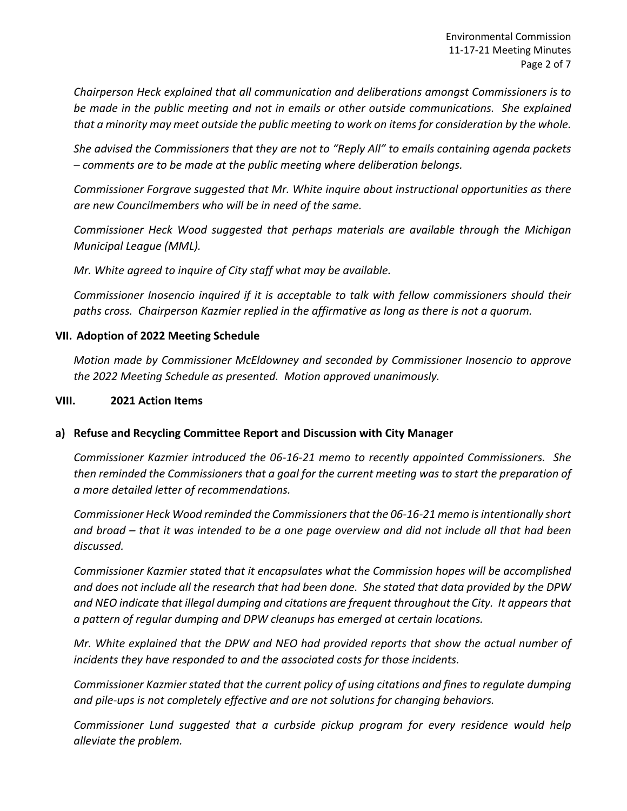*Chairperson Heck explained that all communication and deliberations amongst Commissioners is to be made in the public meeting and not in emails or other outside communications. She explained that a minority may meet outside the public meeting to work on items for consideration by the whole.* 

*She advised the Commissioners that they are not to "Reply All" to emails containing agenda packets – comments are to be made at the public meeting where deliberation belongs.* 

*Commissioner Forgrave suggested that Mr. White inquire about instructional opportunities as there are new Councilmembers who will be in need of the same.* 

*Commissioner Heck Wood suggested that perhaps materials are available through the Michigan Municipal League (MML).* 

*Mr. White agreed to inquire of City staff what may be available.* 

*Commissioner Inosencio inquired if it is acceptable to talk with fellow commissioners should their paths cross. Chairperson Kazmier replied in the affirmative as long as there is not a quorum.* 

## **VII. Adoption of 2022 Meeting Schedule**

*Motion made by Commissioner McEldowney and seconded by Commissioner Inosencio to approve the 2022 Meeting Schedule as presented. Motion approved unanimously.* 

#### **VIII. 2021 Action Items**

#### **a) Refuse and Recycling Committee Report and Discussion with City Manager**

*Commissioner Kazmier introduced the 06‐16‐21 memo to recently appointed Commissioners. She then reminded the Commissioners that a goal for the current meeting was to start the preparation of a more detailed letter of recommendations.* 

*Commissioner Heck Wood reminded the Commissioners that the 06‐16‐21 memo is intentionally short and broad – that it was intended to be a one page overview and did not include all that had been discussed.* 

*Commissioner Kazmier stated that it encapsulates what the Commission hopes will be accomplished and does not include all the research that had been done. She stated that data provided by the DPW and NEO indicate that illegal dumping and citations are frequent throughout the City. It appears that a pattern of regular dumping and DPW cleanups has emerged at certain locations.* 

*Mr. White explained that the DPW and NEO had provided reports that show the actual number of incidents they have responded to and the associated costs for those incidents.* 

*Commissioner Kazmier stated that the current policy of using citations and fines to regulate dumping and pile‐ups is not completely effective and are not solutions for changing behaviors.* 

*Commissioner Lund suggested that a curbside pickup program for every residence would help alleviate the problem.*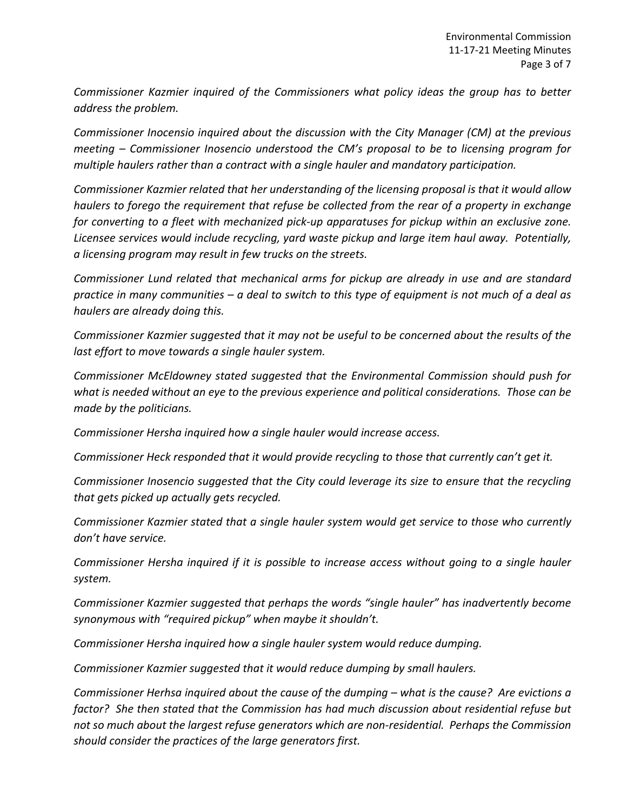*Commissioner Kazmier inquired of the Commissioners what policy ideas the group has to better address the problem.* 

*Commissioner Inocensio inquired about the discussion with the City Manager (CM) at the previous meeting – Commissioner Inosencio understood the CM's proposal to be to licensing program for multiple haulers rather than a contract with a single hauler and mandatory participation.* 

*Commissioner Kazmier related that her understanding of the licensing proposal is that it would allow haulers to forego the requirement that refuse be collected from the rear of a property in exchange for converting to a fleet with mechanized pick‐up apparatuses for pickup within an exclusive zone. Licensee services would include recycling, yard waste pickup and large item haul away. Potentially, a licensing program may result in few trucks on the streets.* 

*Commissioner Lund related that mechanical arms for pickup are already in use and are standard practice in many communities – a deal to switch to this type of equipment is not much of a deal as haulers are already doing this.* 

*Commissioner Kazmier suggested that it may not be useful to be concerned about the results of the last effort to move towards a single hauler system.* 

*Commissioner McEldowney stated suggested that the Environmental Commission should push for what is needed without an eye to the previous experience and political considerations. Those can be made by the politicians.* 

*Commissioner Hersha inquired how a single hauler would increase access.* 

*Commissioner Heck responded that it would provide recycling to those that currently can't get it.* 

*Commissioner Inosencio suggested that the City could leverage its size to ensure that the recycling that gets picked up actually gets recycled.* 

*Commissioner Kazmier stated that a single hauler system would get service to those who currently don't have service.* 

*Commissioner Hersha inquired if it is possible to increase access without going to a single hauler system.* 

*Commissioner Kazmier suggested that perhaps the words "single hauler" has inadvertently become synonymous with "required pickup" when maybe it shouldn't.* 

*Commissioner Hersha inquired how a single hauler system would reduce dumping.* 

*Commissioner Kazmier suggested that it would reduce dumping by small haulers.* 

*Commissioner Herhsa inquired about the cause of the dumping – what is the cause? Are evictions a factor? She then stated that the Commission has had much discussion about residential refuse but not so much about the largest refuse generators which are non‐residential. Perhaps the Commission should consider the practices of the large generators first.*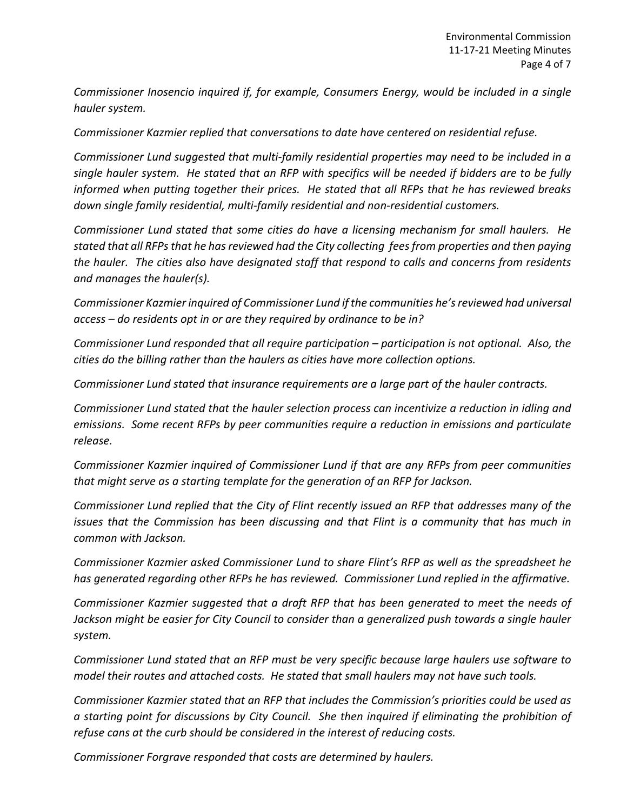*Commissioner Inosencio inquired if, for example, Consumers Energy, would be included in a single hauler system.* 

*Commissioner Kazmier replied that conversations to date have centered on residential refuse.* 

*Commissioner Lund suggested that multi‐family residential properties may need to be included in a single hauler system. He stated that an RFP with specifics will be needed if bidders are to be fully informed when putting together their prices. He stated that all RFPs that he has reviewed breaks down single family residential, multi‐family residential and non‐residential customers.* 

*Commissioner Lund stated that some cities do have a licensing mechanism for small haulers. He stated that all RFPs that he has reviewed had the City collecting fees from properties and then paying the hauler. The cities also have designated staff that respond to calls and concerns from residents and manages the hauler(s).* 

*Commissioner Kazmier inquired of Commissioner Lund if the communities he's reviewed had universal access – do residents opt in or are they required by ordinance to be in?* 

*Commissioner Lund responded that all require participation – participation is not optional. Also, the cities do the billing rather than the haulers as cities have more collection options.* 

*Commissioner Lund stated that insurance requirements are a large part of the hauler contracts.* 

*Commissioner Lund stated that the hauler selection process can incentivize a reduction in idling and emissions. Some recent RFPs by peer communities require a reduction in emissions and particulate release.* 

*Commissioner Kazmier inquired of Commissioner Lund if that are any RFPs from peer communities that might serve as a starting template for the generation of an RFP for Jackson.* 

*Commissioner Lund replied that the City of Flint recently issued an RFP that addresses many of the issues that the Commission has been discussing and that Flint is a community that has much in common with Jackson.* 

*Commissioner Kazmier asked Commissioner Lund to share Flint's RFP as well as the spreadsheet he has generated regarding other RFPs he has reviewed. Commissioner Lund replied in the affirmative.* 

*Commissioner Kazmier suggested that a draft RFP that has been generated to meet the needs of*  Jackson might be easier for City Council to consider than a generalized push towards a single hauler *system.* 

*Commissioner Lund stated that an RFP must be very specific because large haulers use software to model their routes and attached costs. He stated that small haulers may not have such tools.* 

*Commissioner Kazmier stated that an RFP that includes the Commission's priorities could be used as a starting point for discussions by City Council. She then inquired if eliminating the prohibition of refuse cans at the curb should be considered in the interest of reducing costs.* 

*Commissioner Forgrave responded that costs are determined by haulers.*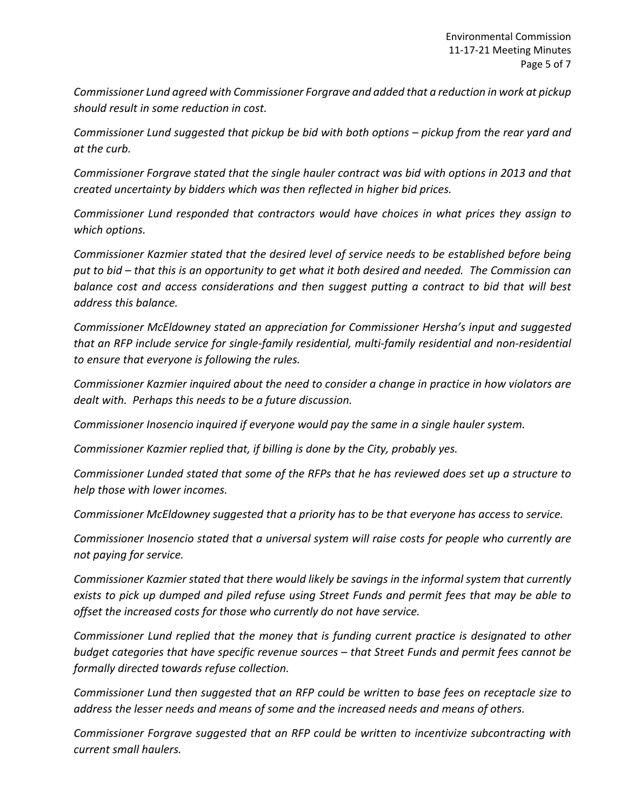*Commissioner Lund agreed with Commissioner Forgrave and added that a reduction in work at pickup should result in some reduction in cost.* 

*Commissioner Lund suggested that pickup be bid with both options – pickup from the rear yard and at the curb.* 

*Commissioner Forgrave stated that the single hauler contract was bid with options in 2013 and that created uncertainty by bidders which was then reflected in higher bid prices.* 

*Commissioner Lund responded that contractors would have choices in what prices they assign to which options.* 

*Commissioner Kazmier stated that the desired level of service needs to be established before being put to bid – that this is an opportunity to get what it both desired and needed. The Commission can balance cost and access considerations and then suggest putting a contract to bid that will best address this balance.* 

*Commissioner McEldowney stated an appreciation for Commissioner Hersha's input and suggested that an RFP include service for single‐family residential, multi‐family residential and non‐residential to ensure that everyone is following the rules.* 

*Commissioner Kazmier inquired about the need to consider a change in practice in how violators are dealt with. Perhaps this needs to be a future discussion.* 

*Commissioner Inosencio inquired if everyone would pay the same in a single hauler system.* 

*Commissioner Kazmier replied that, if billing is done by the City, probably yes.* 

*Commissioner Lunded stated that some of the RFPs that he has reviewed does set up a structure to help those with lower incomes.* 

*Commissioner McEldowney suggested that a priority has to be that everyone has access to service.* 

*Commissioner Inosencio stated that a universal system will raise costs for people who currently are not paying for service.* 

*Commissioner Kazmier stated that there would likely be savings in the informal system that currently exists to pick up dumped and piled refuse using Street Funds and permit fees that may be able to offset the increased costs for those who currently do not have service.* 

*Commissioner Lund replied that the money that is funding current practice is designated to other budget categories that have specific revenue sources – that Street Funds and permit fees cannot be formally directed towards refuse collection.* 

*Commissioner Lund then suggested that an RFP could be written to base fees on receptacle size to address the lesser needs and means of some and the increased needs and means of others.* 

*Commissioner Forgrave suggested that an RFP could be written to incentivize subcontracting with current small haulers.*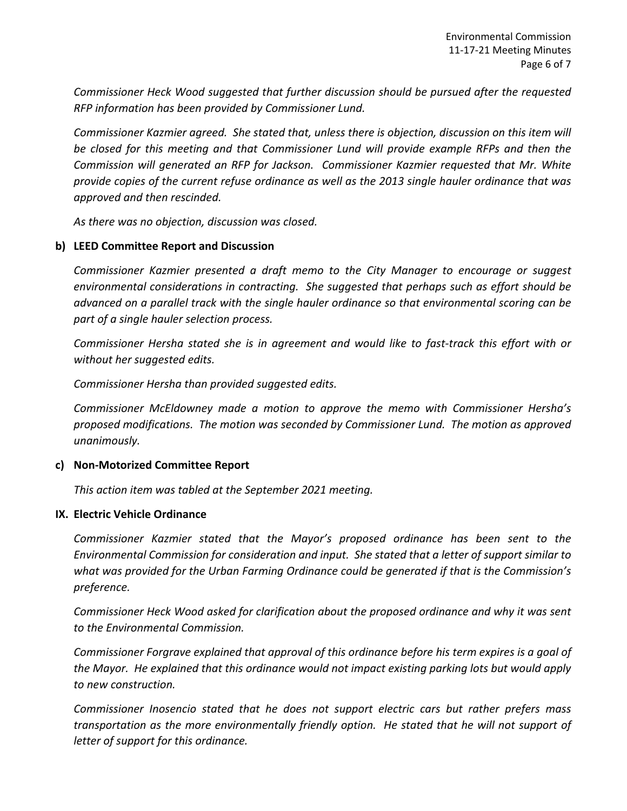*Commissioner Heck Wood suggested that further discussion should be pursued after the requested RFP information has been provided by Commissioner Lund.* 

*Commissioner Kazmier agreed. She stated that, unless there is objection, discussion on this item will be closed for this meeting and that Commissioner Lund will provide example RFPs and then the Commission will generated an RFP for Jackson. Commissioner Kazmier requested that Mr. White provide copies of the current refuse ordinance as well as the 2013 single hauler ordinance that was approved and then rescinded.* 

*As there was no objection, discussion was closed.* 

## **b) LEED Committee Report and Discussion**

*Commissioner Kazmier presented a draft memo to the City Manager to encourage or suggest environmental considerations in contracting. She suggested that perhaps such as effort should be advanced on a parallel track with the single hauler ordinance so that environmental scoring can be part of a single hauler selection process.* 

*Commissioner Hersha stated she is in agreement and would like to fast‐track this effort with or without her suggested edits.* 

*Commissioner Hersha than provided suggested edits.* 

*Commissioner McEldowney made a motion to approve the memo with Commissioner Hersha's proposed modifications. The motion was seconded by Commissioner Lund. The motion as approved unanimously.* 

# **c) Non‐Motorized Committee Report**

*This action item was tabled at the September 2021 meeting.* 

#### **IX. Electric Vehicle Ordinance**

*Commissioner Kazmier stated that the Mayor's proposed ordinance has been sent to the Environmental Commission for consideration and input. She stated that a letter of support similar to what was provided for the Urban Farming Ordinance could be generated if that is the Commission's preference.* 

*Commissioner Heck Wood asked for clarification about the proposed ordinance and why it was sent to the Environmental Commission.* 

*Commissioner Forgrave explained that approval of this ordinance before his term expires is a goal of the Mayor. He explained that this ordinance would not impact existing parking lots but would apply to new construction.* 

*Commissioner Inosencio stated that he does not support electric cars but rather prefers mass transportation as the more environmentally friendly option. He stated that he will not support of letter of support for this ordinance.*